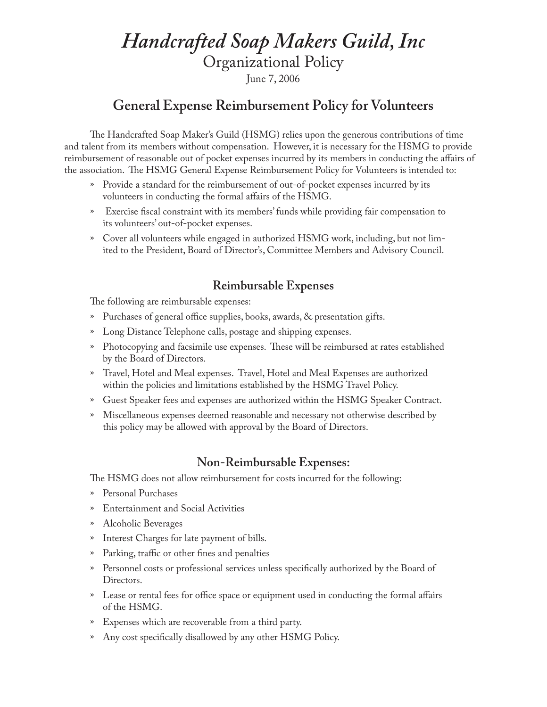# *Handcrafted Soap Makers Guild, Inc*

Organizational Policy

June 7, 2006

## **General Expense Reimbursement Policy for Volunteers**

The Handcrafted Soap Maker's Guild (HSMG) relies upon the generous contributions of time and talent from its members without compensation. However, it is necessary for the HSMG to provide reimbursement of reasonable out of pocket expenses incurred by its members in conducting the affairs of the association. The HSMG General Expense Reimbursement Policy for Volunteers is intended to:

- » Provide a standard for the reimbursement of out-of-pocket expenses incurred by its volunteers in conducting the formal affairs of the HSMG.
- » Exercise fiscal constraint with its members' funds while providing fair compensation to its volunteers' out-of-pocket expenses.
- » Cover all volunteers while engaged in authorized HSMG work, including, but not limited to the President, Board of Director's, Committee Members and Advisory Council.

#### **Reimbursable Expenses**

The following are reimbursable expenses:

- » Purchases of general office supplies, books, awards, & presentation gifts.
- » Long Distance Telephone calls, postage and shipping expenses.
- » Photocopying and facsimile use expenses. These will be reimbursed at rates established by the Board of Directors.
- » Travel, Hotel and Meal expenses. Travel, Hotel and Meal Expenses are authorized within the policies and limitations established by the HSMG Travel Policy.
- » Guest Speaker fees and expenses are authorized within the HSMG Speaker Contract.
- » Miscellaneous expenses deemed reasonable and necessary not otherwise described by this policy may be allowed with approval by the Board of Directors.

#### **Non-Reimbursable Expenses:**

The HSMG does not allow reimbursement for costs incurred for the following:

- » Personal Purchases
- » Entertainment and Social Activities
- » Alcoholic Beverages
- » Interest Charges for late payment of bills.
- » Parking, traffic or other fines and penalties
- » Personnel costs or professional services unless specifically authorized by the Board of Directors.
- » Lease or rental fees for office space or equipment used in conducting the formal affairs of the HSMG.
- » Expenses which are recoverable from a third party.
- » Any cost specifically disallowed by any other HSMG Policy.